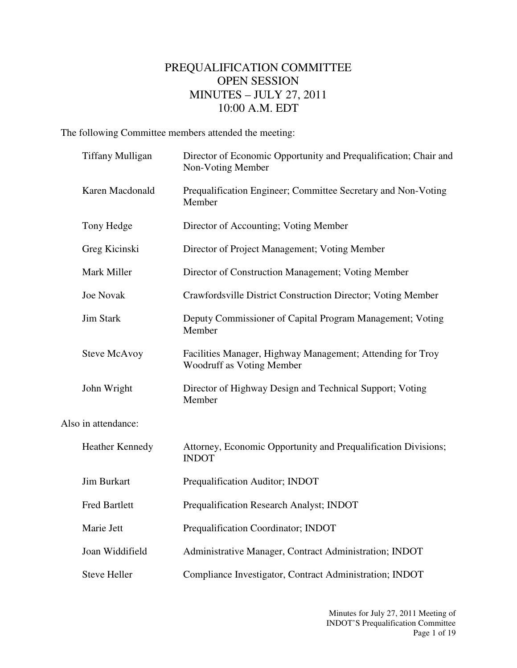## PREQUALIFICATION COMMITTEE OPEN SESSION MINUTES – JULY 27, 2011 10:00 A.M. EDT

The following Committee members attended the meeting:

|                     | <b>Tiffany Mulligan</b> | Director of Economic Opportunity and Prequalification; Chair and<br>Non-Voting Member   |  |  |  |
|---------------------|-------------------------|-----------------------------------------------------------------------------------------|--|--|--|
|                     | Karen Macdonald         | Prequalification Engineer; Committee Secretary and Non-Voting<br>Member                 |  |  |  |
|                     | Tony Hedge              | Director of Accounting; Voting Member                                                   |  |  |  |
|                     | Greg Kicinski           | Director of Project Management; Voting Member                                           |  |  |  |
|                     | Mark Miller             | Director of Construction Management; Voting Member                                      |  |  |  |
|                     | <b>Joe Novak</b>        | Crawfordsville District Construction Director; Voting Member                            |  |  |  |
|                     | <b>Jim Stark</b>        | Deputy Commissioner of Capital Program Management; Voting<br>Member                     |  |  |  |
|                     | <b>Steve McAvoy</b>     | Facilities Manager, Highway Management; Attending for Troy<br>Woodruff as Voting Member |  |  |  |
|                     | John Wright             | Director of Highway Design and Technical Support; Voting<br>Member                      |  |  |  |
| Also in attendance: |                         |                                                                                         |  |  |  |
|                     | <b>Heather Kennedy</b>  | Attorney, Economic Opportunity and Prequalification Divisions;<br><b>INDOT</b>          |  |  |  |
|                     | <b>Jim Burkart</b>      | Prequalification Auditor; INDOT                                                         |  |  |  |
|                     | <b>Fred Bartlett</b>    | Prequalification Research Analyst; INDOT                                                |  |  |  |
|                     | Marie Jett              | Prequalification Coordinator; INDOT                                                     |  |  |  |
|                     | Joan Widdifield         | Administrative Manager, Contract Administration; INDOT                                  |  |  |  |
|                     | <b>Steve Heller</b>     | Compliance Investigator, Contract Administration; INDOT                                 |  |  |  |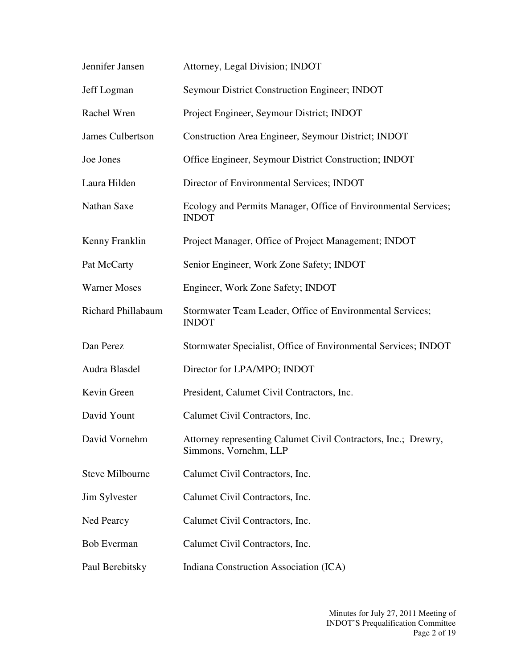| Jennifer Jansen     | Attorney, Legal Division; INDOT                                                         |
|---------------------|-----------------------------------------------------------------------------------------|
| Jeff Logman         | Seymour District Construction Engineer; INDOT                                           |
| Rachel Wren         | Project Engineer, Seymour District; INDOT                                               |
| James Culbertson    | Construction Area Engineer, Seymour District; INDOT                                     |
| Joe Jones           | Office Engineer, Seymour District Construction; INDOT                                   |
| Laura Hilden        | Director of Environmental Services; INDOT                                               |
| Nathan Saxe         | Ecology and Permits Manager, Office of Environmental Services;<br><b>INDOT</b>          |
| Kenny Franklin      | Project Manager, Office of Project Management; INDOT                                    |
| Pat McCarty         | Senior Engineer, Work Zone Safety; INDOT                                                |
| <b>Warner Moses</b> | Engineer, Work Zone Safety; INDOT                                                       |
| Richard Phillabaum  | Stormwater Team Leader, Office of Environmental Services;<br><b>INDOT</b>               |
| Dan Perez           | Stormwater Specialist, Office of Environmental Services; INDOT                          |
| Audra Blasdel       | Director for LPA/MPO; INDOT                                                             |
| Kevin Green         | President, Calumet Civil Contractors, Inc.                                              |
| David Yount         | Calumet Civil Contractors, Inc.                                                         |
| David Vornehm       | Attorney representing Calumet Civil Contractors, Inc.; Drewry,<br>Simmons, Vornehm, LLP |
| Steve Milbourne     | Calumet Civil Contractors, Inc.                                                         |
| Jim Sylvester       | Calumet Civil Contractors, Inc.                                                         |
| Ned Pearcy          | Calumet Civil Contractors, Inc.                                                         |
| <b>Bob Everman</b>  | Calumet Civil Contractors, Inc.                                                         |
| Paul Berebitsky     | Indiana Construction Association (ICA)                                                  |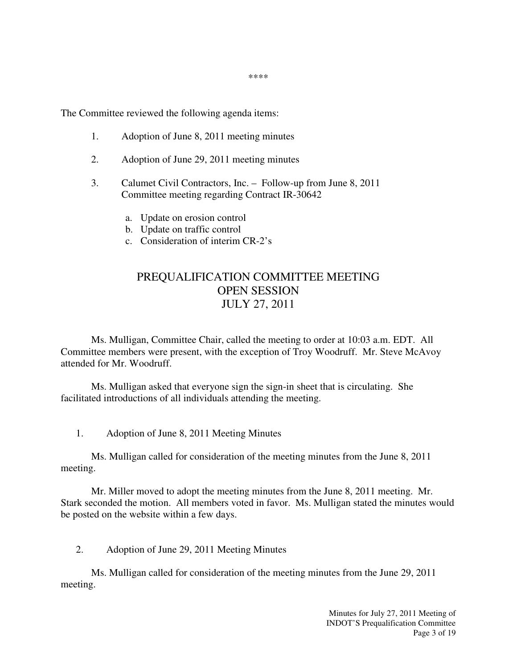\*\*\*\*

The Committee reviewed the following agenda items:

- 1. Adoption of June 8, 2011 meeting minutes
- 2. Adoption of June 29, 2011 meeting minutes
- 3. Calumet Civil Contractors, Inc. Follow-up from June 8, 2011 Committee meeting regarding Contract IR-30642
	- a. Update on erosion control
	- b. Update on traffic control
	- c. Consideration of interim CR-2's

## PREQUALIFICATION COMMITTEE MEETING OPEN SESSION JULY 27, 2011

 Ms. Mulligan, Committee Chair, called the meeting to order at 10:03 a.m. EDT. All Committee members were present, with the exception of Troy Woodruff. Mr. Steve McAvoy attended for Mr. Woodruff.

Ms. Mulligan asked that everyone sign the sign-in sheet that is circulating. She facilitated introductions of all individuals attending the meeting.

1. Adoption of June 8, 2011 Meeting Minutes

 Ms. Mulligan called for consideration of the meeting minutes from the June 8, 2011 meeting.

 Mr. Miller moved to adopt the meeting minutes from the June 8, 2011 meeting. Mr. Stark seconded the motion. All members voted in favor. Ms. Mulligan stated the minutes would be posted on the website within a few days.

2. Adoption of June 29, 2011 Meeting Minutes

Ms. Mulligan called for consideration of the meeting minutes from the June 29, 2011 meeting.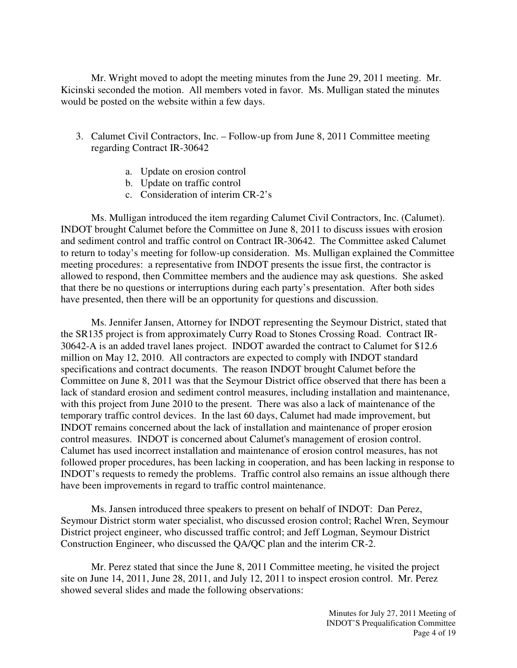Mr. Wright moved to adopt the meeting minutes from the June 29, 2011 meeting. Mr. Kicinski seconded the motion. All members voted in favor. Ms. Mulligan stated the minutes would be posted on the website within a few days.

- 3. Calumet Civil Contractors, Inc. Follow-up from June 8, 2011 Committee meeting regarding Contract IR-30642
	- a. Update on erosion control
	- b. Update on traffic control
	- c. Consideration of interim CR-2's

Ms. Mulligan introduced the item regarding Calumet Civil Contractors, Inc. (Calumet). INDOT brought Calumet before the Committee on June 8, 2011 to discuss issues with erosion and sediment control and traffic control on Contract IR-30642. The Committee asked Calumet to return to today's meeting for follow-up consideration. Ms. Mulligan explained the Committee meeting procedures: a representative from INDOT presents the issue first, the contractor is allowed to respond, then Committee members and the audience may ask questions. She asked that there be no questions or interruptions during each party's presentation. After both sides have presented, then there will be an opportunity for questions and discussion.

Ms. Jennifer Jansen, Attorney for INDOT representing the Seymour District, stated that the SR135 project is from approximately Curry Road to Stones Crossing Road. Contract IR-30642-A is an added travel lanes project. INDOT awarded the contract to Calumet for \$12.6 million on May 12, 2010. All contractors are expected to comply with INDOT standard specifications and contract documents. The reason INDOT brought Calumet before the Committee on June 8, 2011 was that the Seymour District office observed that there has been a lack of standard erosion and sediment control measures, including installation and maintenance, with this project from June 2010 to the present. There was also a lack of maintenance of the temporary traffic control devices. In the last 60 days, Calumet had made improvement, but INDOT remains concerned about the lack of installation and maintenance of proper erosion control measures. INDOT is concerned about Calumet's management of erosion control. Calumet has used incorrect installation and maintenance of erosion control measures, has not followed proper procedures, has been lacking in cooperation, and has been lacking in response to INDOT's requests to remedy the problems. Traffic control also remains an issue although there have been improvements in regard to traffic control maintenance.

Ms. Jansen introduced three speakers to present on behalf of INDOT: Dan Perez, Seymour District storm water specialist, who discussed erosion control; Rachel Wren, Seymour District project engineer, who discussed traffic control; and Jeff Logman, Seymour District Construction Engineer, who discussed the QA/QC plan and the interim CR-2.

Mr. Perez stated that since the June 8, 2011 Committee meeting, he visited the project site on June 14, 2011, June 28, 2011, and July 12, 2011 to inspect erosion control. Mr. Perez showed several slides and made the following observations: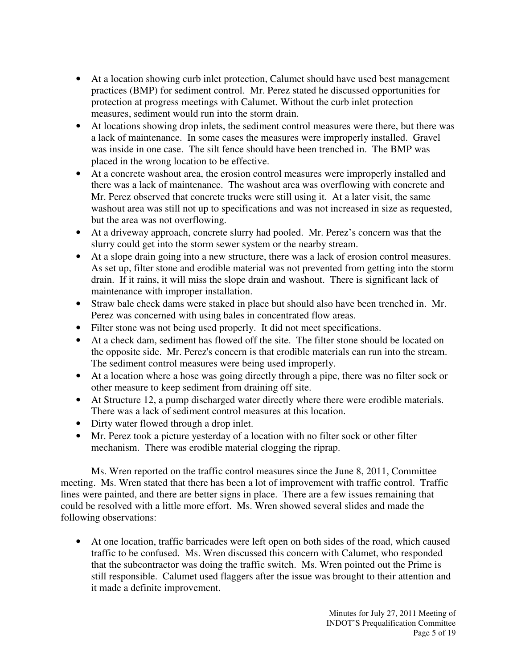- At a location showing curb inlet protection, Calumet should have used best management practices (BMP) for sediment control. Mr. Perez stated he discussed opportunities for protection at progress meetings with Calumet. Without the curb inlet protection measures, sediment would run into the storm drain.
- At locations showing drop inlets, the sediment control measures were there, but there was a lack of maintenance. In some cases the measures were improperly installed. Gravel was inside in one case. The silt fence should have been trenched in. The BMP was placed in the wrong location to be effective.
- At a concrete washout area, the erosion control measures were improperly installed and there was a lack of maintenance. The washout area was overflowing with concrete and Mr. Perez observed that concrete trucks were still using it. At a later visit, the same washout area was still not up to specifications and was not increased in size as requested, but the area was not overflowing.
- At a driveway approach, concrete slurry had pooled. Mr. Perez's concern was that the slurry could get into the storm sewer system or the nearby stream.
- At a slope drain going into a new structure, there was a lack of erosion control measures. As set up, filter stone and erodible material was not prevented from getting into the storm drain. If it rains, it will miss the slope drain and washout. There is significant lack of maintenance with improper installation.
- Straw bale check dams were staked in place but should also have been trenched in. Mr. Perez was concerned with using bales in concentrated flow areas.
- Filter stone was not being used properly. It did not meet specifications.
- At a check dam, sediment has flowed off the site. The filter stone should be located on the opposite side. Mr. Perez's concern is that erodible materials can run into the stream. The sediment control measures were being used improperly.
- At a location where a hose was going directly through a pipe, there was no filter sock or other measure to keep sediment from draining off site.
- At Structure 12, a pump discharged water directly where there were erodible materials. There was a lack of sediment control measures at this location.
- Dirty water flowed through a drop inlet.
- Mr. Perez took a picture yesterday of a location with no filter sock or other filter mechanism. There was erodible material clogging the riprap.

Ms. Wren reported on the traffic control measures since the June 8, 2011, Committee meeting. Ms. Wren stated that there has been a lot of improvement with traffic control. Traffic lines were painted, and there are better signs in place. There are a few issues remaining that could be resolved with a little more effort. Ms. Wren showed several slides and made the following observations:

• At one location, traffic barricades were left open on both sides of the road, which caused traffic to be confused. Ms. Wren discussed this concern with Calumet, who responded that the subcontractor was doing the traffic switch. Ms. Wren pointed out the Prime is still responsible. Calumet used flaggers after the issue was brought to their attention and it made a definite improvement.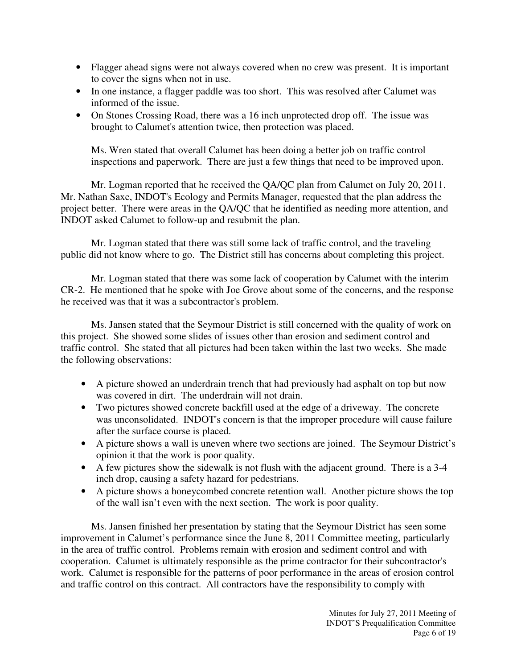- Flagger ahead signs were not always covered when no crew was present. It is important to cover the signs when not in use.
- In one instance, a flagger paddle was too short. This was resolved after Calumet was informed of the issue.
- On Stones Crossing Road, there was a 16 inch unprotected drop off. The issue was brought to Calumet's attention twice, then protection was placed.

Ms. Wren stated that overall Calumet has been doing a better job on traffic control inspections and paperwork. There are just a few things that need to be improved upon.

Mr. Logman reported that he received the QA/QC plan from Calumet on July 20, 2011. Mr. Nathan Saxe, INDOT's Ecology and Permits Manager, requested that the plan address the project better. There were areas in the QA/QC that he identified as needing more attention, and INDOT asked Calumet to follow-up and resubmit the plan.

Mr. Logman stated that there was still some lack of traffic control, and the traveling public did not know where to go. The District still has concerns about completing this project.

Mr. Logman stated that there was some lack of cooperation by Calumet with the interim CR-2. He mentioned that he spoke with Joe Grove about some of the concerns, and the response he received was that it was a subcontractor's problem.

 Ms. Jansen stated that the Seymour District is still concerned with the quality of work on this project. She showed some slides of issues other than erosion and sediment control and traffic control. She stated that all pictures had been taken within the last two weeks. She made the following observations:

- A picture showed an underdrain trench that had previously had asphalt on top but now was covered in dirt. The underdrain will not drain.
- Two pictures showed concrete backfill used at the edge of a driveway. The concrete was unconsolidated. INDOT's concern is that the improper procedure will cause failure after the surface course is placed.
- A picture shows a wall is uneven where two sections are joined. The Seymour District's opinion it that the work is poor quality.
- A few pictures show the sidewalk is not flush with the adjacent ground. There is a 3-4 inch drop, causing a safety hazard for pedestrians.
- A picture shows a honeycombed concrete retention wall. Another picture shows the top of the wall isn't even with the next section. The work is poor quality.

Ms. Jansen finished her presentation by stating that the Seymour District has seen some improvement in Calumet's performance since the June 8, 2011 Committee meeting, particularly in the area of traffic control. Problems remain with erosion and sediment control and with cooperation. Calumet is ultimately responsible as the prime contractor for their subcontractor's work. Calumet is responsible for the patterns of poor performance in the areas of erosion control and traffic control on this contract. All contractors have the responsibility to comply with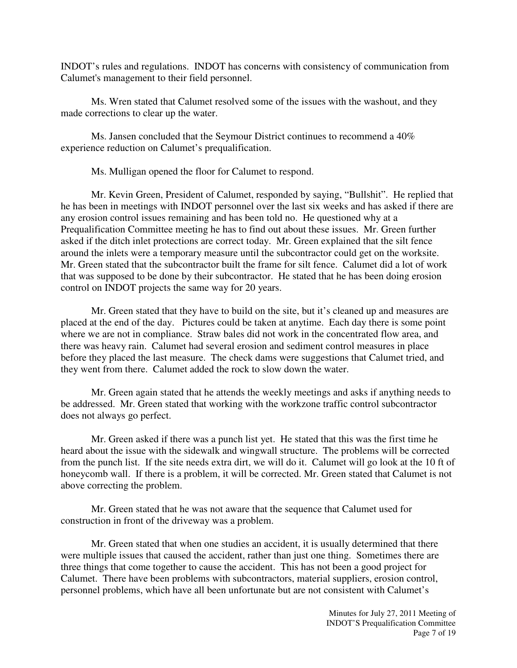INDOT's rules and regulations. INDOT has concerns with consistency of communication from Calumet's management to their field personnel.

Ms. Wren stated that Calumet resolved some of the issues with the washout, and they made corrections to clear up the water.

 Ms. Jansen concluded that the Seymour District continues to recommend a 40% experience reduction on Calumet's prequalification.

Ms. Mulligan opened the floor for Calumet to respond.

Mr. Kevin Green, President of Calumet, responded by saying, "Bullshit". He replied that he has been in meetings with INDOT personnel over the last six weeks and has asked if there are any erosion control issues remaining and has been told no. He questioned why at a Prequalification Committee meeting he has to find out about these issues. Mr. Green further asked if the ditch inlet protections are correct today. Mr. Green explained that the silt fence around the inlets were a temporary measure until the subcontractor could get on the worksite. Mr. Green stated that the subcontractor built the frame for silt fence. Calumet did a lot of work that was supposed to be done by their subcontractor. He stated that he has been doing erosion control on INDOT projects the same way for 20 years.

Mr. Green stated that they have to build on the site, but it's cleaned up and measures are placed at the end of the day. Pictures could be taken at anytime. Each day there is some point where we are not in compliance. Straw bales did not work in the concentrated flow area, and there was heavy rain. Calumet had several erosion and sediment control measures in place before they placed the last measure. The check dams were suggestions that Calumet tried, and they went from there. Calumet added the rock to slow down the water.

Mr. Green again stated that he attends the weekly meetings and asks if anything needs to be addressed. Mr. Green stated that working with the workzone traffic control subcontractor does not always go perfect.

Mr. Green asked if there was a punch list yet. He stated that this was the first time he heard about the issue with the sidewalk and wingwall structure. The problems will be corrected from the punch list. If the site needs extra dirt, we will do it. Calumet will go look at the 10 ft of honeycomb wall. If there is a problem, it will be corrected. Mr. Green stated that Calumet is not above correcting the problem.

Mr. Green stated that he was not aware that the sequence that Calumet used for construction in front of the driveway was a problem.

Mr. Green stated that when one studies an accident, it is usually determined that there were multiple issues that caused the accident, rather than just one thing. Sometimes there are three things that come together to cause the accident. This has not been a good project for Calumet. There have been problems with subcontractors, material suppliers, erosion control, personnel problems, which have all been unfortunate but are not consistent with Calumet's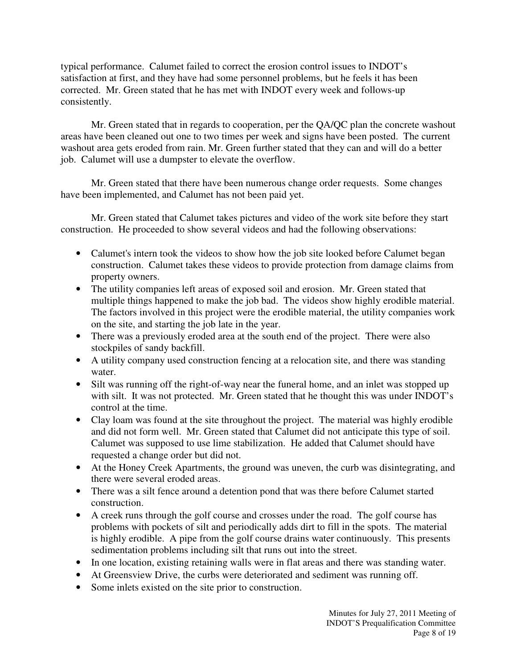typical performance. Calumet failed to correct the erosion control issues to INDOT's satisfaction at first, and they have had some personnel problems, but he feels it has been corrected. Mr. Green stated that he has met with INDOT every week and follows-up consistently.

Mr. Green stated that in regards to cooperation, per the QA/QC plan the concrete washout areas have been cleaned out one to two times per week and signs have been posted. The current washout area gets eroded from rain. Mr. Green further stated that they can and will do a better job. Calumet will use a dumpster to elevate the overflow.

Mr. Green stated that there have been numerous change order requests. Some changes have been implemented, and Calumet has not been paid yet.

 Mr. Green stated that Calumet takes pictures and video of the work site before they start construction. He proceeded to show several videos and had the following observations:

- Calumet's intern took the videos to show how the job site looked before Calumet began construction. Calumet takes these videos to provide protection from damage claims from property owners.
- The utility companies left areas of exposed soil and erosion. Mr. Green stated that multiple things happened to make the job bad. The videos show highly erodible material. The factors involved in this project were the erodible material, the utility companies work on the site, and starting the job late in the year.
- There was a previously eroded area at the south end of the project. There were also stockpiles of sandy backfill.
- A utility company used construction fencing at a relocation site, and there was standing water.
- Silt was running off the right-of-way near the funeral home, and an inlet was stopped up with silt. It was not protected. Mr. Green stated that he thought this was under INDOT's control at the time.
- Clay loam was found at the site throughout the project. The material was highly erodible and did not form well. Mr. Green stated that Calumet did not anticipate this type of soil. Calumet was supposed to use lime stabilization. He added that Calumet should have requested a change order but did not.
- At the Honey Creek Apartments, the ground was uneven, the curb was disintegrating, and there were several eroded areas.
- There was a silt fence around a detention pond that was there before Calumet started construction.
- A creek runs through the golf course and crosses under the road. The golf course has problems with pockets of silt and periodically adds dirt to fill in the spots. The material is highly erodible. A pipe from the golf course drains water continuously. This presents sedimentation problems including silt that runs out into the street.
- In one location, existing retaining walls were in flat areas and there was standing water.
- At Greensview Drive, the curbs were deteriorated and sediment was running off.
- Some inlets existed on the site prior to construction.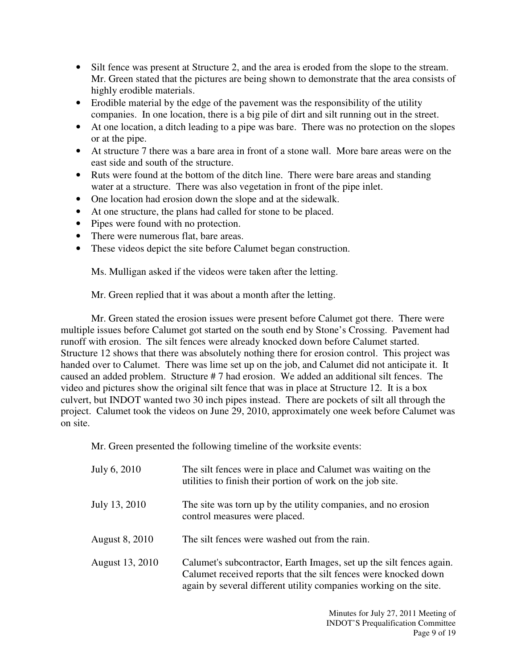- Silt fence was present at Structure 2, and the area is eroded from the slope to the stream. Mr. Green stated that the pictures are being shown to demonstrate that the area consists of highly erodible materials.
- Erodible material by the edge of the pavement was the responsibility of the utility companies. In one location, there is a big pile of dirt and silt running out in the street.
- At one location, a ditch leading to a pipe was bare. There was no protection on the slopes or at the pipe.
- At structure 7 there was a bare area in front of a stone wall. More bare areas were on the east side and south of the structure.
- Ruts were found at the bottom of the ditch line. There were bare areas and standing water at a structure. There was also vegetation in front of the pipe inlet.
- One location had erosion down the slope and at the sidewalk.
- At one structure, the plans had called for stone to be placed.
- Pipes were found with no protection.
- There were numerous flat, bare areas.
- These videos depict the site before Calumet began construction.

Ms. Mulligan asked if the videos were taken after the letting.

Mr. Green replied that it was about a month after the letting.

Mr. Green stated the erosion issues were present before Calumet got there. There were multiple issues before Calumet got started on the south end by Stone's Crossing. Pavement had runoff with erosion. The silt fences were already knocked down before Calumet started. Structure 12 shows that there was absolutely nothing there for erosion control. This project was handed over to Calumet. There was lime set up on the job, and Calumet did not anticipate it. It caused an added problem. Structure # 7 had erosion. We added an additional silt fences. The video and pictures show the original silt fence that was in place at Structure 12. It is a box culvert, but INDOT wanted two 30 inch pipes instead. There are pockets of silt all through the project. Calumet took the videos on June 29, 2010, approximately one week before Calumet was on site.

Mr. Green presented the following timeline of the worksite events:

| July 6, 2010          | The silt fences were in place and Calumet was waiting on the<br>utilities to finish their portion of work on the job site.                                                                                   |
|-----------------------|--------------------------------------------------------------------------------------------------------------------------------------------------------------------------------------------------------------|
| July 13, 2010         | The site was torn up by the utility companies, and no erosion<br>control measures were placed.                                                                                                               |
| <b>August 8, 2010</b> | The silt fences were washed out from the rain.                                                                                                                                                               |
| August 13, 2010       | Calumet's subcontractor, Earth Images, set up the silt fences again.<br>Calumet received reports that the silt fences were knocked down<br>again by several different utility companies working on the site. |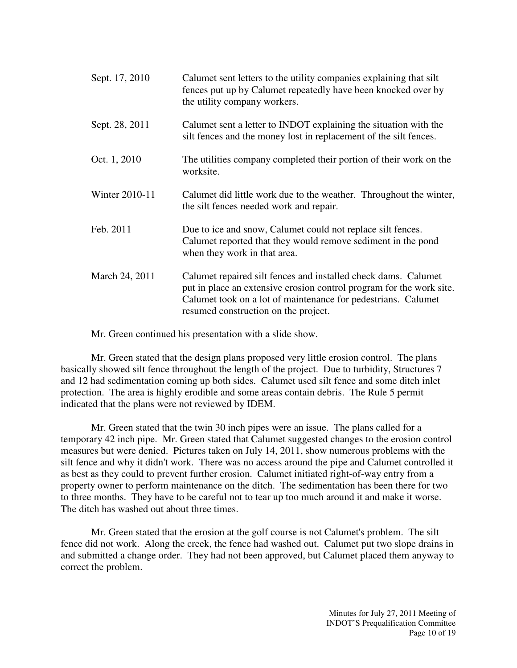| Sept. 17, 2010 | Calumet sent letters to the utility companies explaining that silt<br>fences put up by Calumet repeatedly have been knocked over by<br>the utility company workers.                                                                             |
|----------------|-------------------------------------------------------------------------------------------------------------------------------------------------------------------------------------------------------------------------------------------------|
| Sept. 28, 2011 | Calumet sent a letter to INDOT explaining the situation with the<br>silt fences and the money lost in replacement of the silt fences.                                                                                                           |
| Oct. 1, 2010   | The utilities company completed their portion of their work on the<br>worksite.                                                                                                                                                                 |
| Winter 2010-11 | Calumet did little work due to the weather. Throughout the winter,<br>the silt fences needed work and repair.                                                                                                                                   |
| Feb. 2011      | Due to ice and snow, Calumet could not replace silt fences.<br>Calumet reported that they would remove sediment in the pond<br>when they work in that area.                                                                                     |
| March 24, 2011 | Calumet repaired silt fences and installed check dams. Calumet<br>put in place an extensive erosion control program for the work site.<br>Calumet took on a lot of maintenance for pedestrians. Calumet<br>resumed construction on the project. |

Mr. Green continued his presentation with a slide show.

Mr. Green stated that the design plans proposed very little erosion control. The plans basically showed silt fence throughout the length of the project. Due to turbidity, Structures 7 and 12 had sedimentation coming up both sides. Calumet used silt fence and some ditch inlet protection. The area is highly erodible and some areas contain debris. The Rule 5 permit indicated that the plans were not reviewed by IDEM.

Mr. Green stated that the twin 30 inch pipes were an issue. The plans called for a temporary 42 inch pipe. Mr. Green stated that Calumet suggested changes to the erosion control measures but were denied. Pictures taken on July 14, 2011, show numerous problems with the silt fence and why it didn't work. There was no access around the pipe and Calumet controlled it as best as they could to prevent further erosion. Calumet initiated right-of-way entry from a property owner to perform maintenance on the ditch. The sedimentation has been there for two to three months. They have to be careful not to tear up too much around it and make it worse. The ditch has washed out about three times.

Mr. Green stated that the erosion at the golf course is not Calumet's problem. The silt fence did not work. Along the creek, the fence had washed out. Calumet put two slope drains in and submitted a change order. They had not been approved, but Calumet placed them anyway to correct the problem.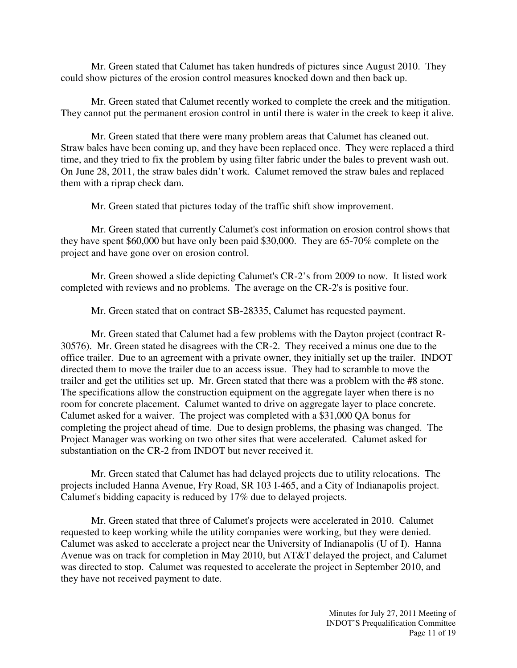Mr. Green stated that Calumet has taken hundreds of pictures since August 2010. They could show pictures of the erosion control measures knocked down and then back up.

Mr. Green stated that Calumet recently worked to complete the creek and the mitigation. They cannot put the permanent erosion control in until there is water in the creek to keep it alive.

Mr. Green stated that there were many problem areas that Calumet has cleaned out. Straw bales have been coming up, and they have been replaced once. They were replaced a third time, and they tried to fix the problem by using filter fabric under the bales to prevent wash out. On June 28, 2011, the straw bales didn't work. Calumet removed the straw bales and replaced them with a riprap check dam.

Mr. Green stated that pictures today of the traffic shift show improvement.

Mr. Green stated that currently Calumet's cost information on erosion control shows that they have spent \$60,000 but have only been paid \$30,000. They are 65-70% complete on the project and have gone over on erosion control.

Mr. Green showed a slide depicting Calumet's CR-2's from 2009 to now. It listed work completed with reviews and no problems. The average on the CR-2's is positive four.

Mr. Green stated that on contract SB-28335, Calumet has requested payment.

Mr. Green stated that Calumet had a few problems with the Dayton project (contract R-30576). Mr. Green stated he disagrees with the CR-2. They received a minus one due to the office trailer. Due to an agreement with a private owner, they initially set up the trailer. INDOT directed them to move the trailer due to an access issue. They had to scramble to move the trailer and get the utilities set up. Mr. Green stated that there was a problem with the #8 stone. The specifications allow the construction equipment on the aggregate layer when there is no room for concrete placement. Calumet wanted to drive on aggregate layer to place concrete. Calumet asked for a waiver. The project was completed with a \$31,000 QA bonus for completing the project ahead of time. Due to design problems, the phasing was changed. The Project Manager was working on two other sites that were accelerated. Calumet asked for substantiation on the CR-2 from INDOT but never received it.

Mr. Green stated that Calumet has had delayed projects due to utility relocations. The projects included Hanna Avenue, Fry Road, SR 103 I-465, and a City of Indianapolis project. Calumet's bidding capacity is reduced by 17% due to delayed projects.

Mr. Green stated that three of Calumet's projects were accelerated in 2010. Calumet requested to keep working while the utility companies were working, but they were denied. Calumet was asked to accelerate a project near the University of Indianapolis (U of I). Hanna Avenue was on track for completion in May 2010, but AT&T delayed the project, and Calumet was directed to stop. Calumet was requested to accelerate the project in September 2010, and they have not received payment to date.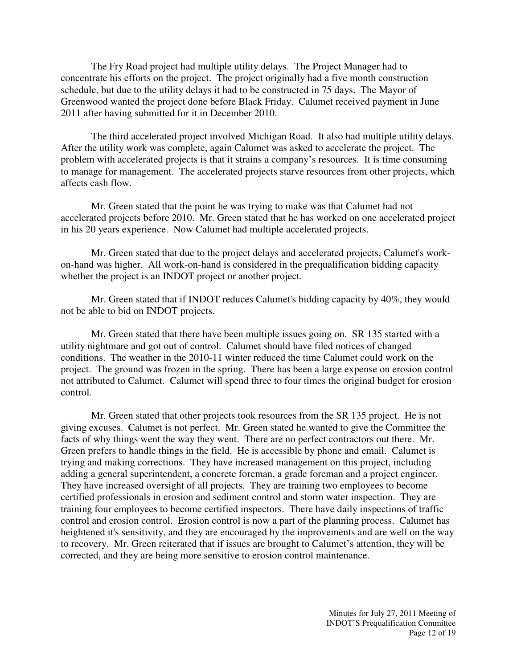The Fry Road project had multiple utility delays. The Project Manager had to concentrate his efforts on the project. The project originally had a five month construction schedule, but due to the utility delays it had to be constructed in 75 days. The Mayor of Greenwood wanted the project done before Black Friday. Calumet received payment in June 2011 after having submitted for it in December 2010.

The third accelerated project involved Michigan Road. It also had multiple utility delays. After the utility work was complete, again Calumet was asked to accelerate the project. The problem with accelerated projects is that it strains a company's resources. It is time consuming to manage for management. The accelerated projects starve resources from other projects, which affects cash flow.

Mr. Green stated that the point he was trying to make was that Calumet had not accelerated projects before 2010. Mr. Green stated that he has worked on one accelerated project in his 20 years experience. Now Calumet had multiple accelerated projects.

Mr. Green stated that due to the project delays and accelerated projects, Calumet's workon-hand was higher. All work-on-hand is considered in the prequalification bidding capacity whether the project is an INDOT project or another project.

Mr. Green stated that if INDOT reduces Calumet's bidding capacity by 40%, they would not be able to bid on INDOT projects.

Mr. Green stated that there have been multiple issues going on. SR 135 started with a utility nightmare and got out of control. Calumet should have filed notices of changed conditions. The weather in the 2010-11 winter reduced the time Calumet could work on the project. The ground was frozen in the spring. There has been a large expense on erosion control not attributed to Calumet. Calumet will spend three to four times the original budget for erosion control.

Mr. Green stated that other projects took resources from the SR 135 project. He is not giving excuses. Calumet is not perfect. Mr. Green stated he wanted to give the Committee the facts of why things went the way they went. There are no perfect contractors out there. Mr. Green prefers to handle things in the field. He is accessible by phone and email. Calumet is trying and making corrections. They have increased management on this project, including adding a general superintendent, a concrete foreman, a grade foreman and a project engineer. They have increased oversight of all projects. They are training two employees to become certified professionals in erosion and sediment control and storm water inspection. They are training four employees to become certified inspectors. There have daily inspections of traffic control and erosion control. Erosion control is now a part of the planning process. Calumet has heightened it's sensitivity, and they are encouraged by the improvements and are well on the way to recovery. Mr. Green reiterated that if issues are brought to Calumet's attention, they will be corrected, and they are being more sensitive to erosion control maintenance.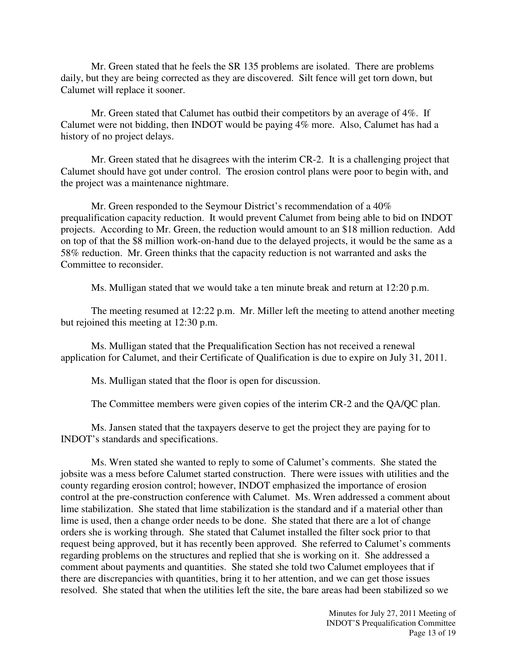Mr. Green stated that he feels the SR 135 problems are isolated. There are problems daily, but they are being corrected as they are discovered. Silt fence will get torn down, but Calumet will replace it sooner.

Mr. Green stated that Calumet has outbid their competitors by an average of 4%. If Calumet were not bidding, then INDOT would be paying 4% more. Also, Calumet has had a history of no project delays.

Mr. Green stated that he disagrees with the interim CR-2. It is a challenging project that Calumet should have got under control. The erosion control plans were poor to begin with, and the project was a maintenance nightmare.

Mr. Green responded to the Seymour District's recommendation of a 40% prequalification capacity reduction. It would prevent Calumet from being able to bid on INDOT projects. According to Mr. Green, the reduction would amount to an \$18 million reduction. Add on top of that the \$8 million work-on-hand due to the delayed projects, it would be the same as a 58% reduction. Mr. Green thinks that the capacity reduction is not warranted and asks the Committee to reconsider.

Ms. Mulligan stated that we would take a ten minute break and return at 12:20 p.m.

The meeting resumed at 12:22 p.m. Mr. Miller left the meeting to attend another meeting but rejoined this meeting at 12:30 p.m.

Ms. Mulligan stated that the Prequalification Section has not received a renewal application for Calumet, and their Certificate of Qualification is due to expire on July 31, 2011.

Ms. Mulligan stated that the floor is open for discussion.

The Committee members were given copies of the interim CR-2 and the QA/QC plan.

Ms. Jansen stated that the taxpayers deserve to get the project they are paying for to INDOT's standards and specifications.

Ms. Wren stated she wanted to reply to some of Calumet's comments. She stated the jobsite was a mess before Calumet started construction. There were issues with utilities and the county regarding erosion control; however, INDOT emphasized the importance of erosion control at the pre-construction conference with Calumet. Ms. Wren addressed a comment about lime stabilization. She stated that lime stabilization is the standard and if a material other than lime is used, then a change order needs to be done. She stated that there are a lot of change orders she is working through. She stated that Calumet installed the filter sock prior to that request being approved, but it has recently been approved. She referred to Calumet's comments regarding problems on the structures and replied that she is working on it. She addressed a comment about payments and quantities. She stated she told two Calumet employees that if there are discrepancies with quantities, bring it to her attention, and we can get those issues resolved. She stated that when the utilities left the site, the bare areas had been stabilized so we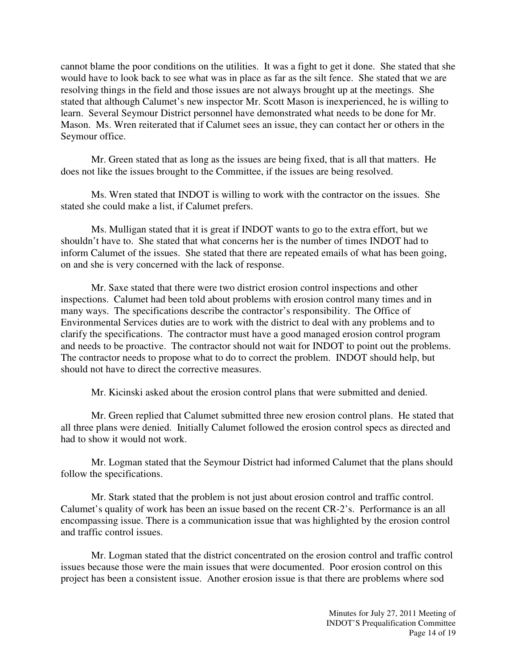cannot blame the poor conditions on the utilities. It was a fight to get it done. She stated that she would have to look back to see what was in place as far as the silt fence. She stated that we are resolving things in the field and those issues are not always brought up at the meetings. She stated that although Calumet's new inspector Mr. Scott Mason is inexperienced, he is willing to learn. Several Seymour District personnel have demonstrated what needs to be done for Mr. Mason. Ms. Wren reiterated that if Calumet sees an issue, they can contact her or others in the Seymour office.

Mr. Green stated that as long as the issues are being fixed, that is all that matters. He does not like the issues brought to the Committee, if the issues are being resolved.

Ms. Wren stated that INDOT is willing to work with the contractor on the issues. She stated she could make a list, if Calumet prefers.

Ms. Mulligan stated that it is great if INDOT wants to go to the extra effort, but we shouldn't have to. She stated that what concerns her is the number of times INDOT had to inform Calumet of the issues. She stated that there are repeated emails of what has been going, on and she is very concerned with the lack of response.

Mr. Saxe stated that there were two district erosion control inspections and other inspections. Calumet had been told about problems with erosion control many times and in many ways. The specifications describe the contractor's responsibility. The Office of Environmental Services duties are to work with the district to deal with any problems and to clarify the specifications. The contractor must have a good managed erosion control program and needs to be proactive. The contractor should not wait for INDOT to point out the problems. The contractor needs to propose what to do to correct the problem. INDOT should help, but should not have to direct the corrective measures.

Mr. Kicinski asked about the erosion control plans that were submitted and denied.

Mr. Green replied that Calumet submitted three new erosion control plans. He stated that all three plans were denied. Initially Calumet followed the erosion control specs as directed and had to show it would not work.

Mr. Logman stated that the Seymour District had informed Calumet that the plans should follow the specifications.

Mr. Stark stated that the problem is not just about erosion control and traffic control. Calumet's quality of work has been an issue based on the recent CR-2's. Performance is an all encompassing issue. There is a communication issue that was highlighted by the erosion control and traffic control issues.

Mr. Logman stated that the district concentrated on the erosion control and traffic control issues because those were the main issues that were documented. Poor erosion control on this project has been a consistent issue. Another erosion issue is that there are problems where sod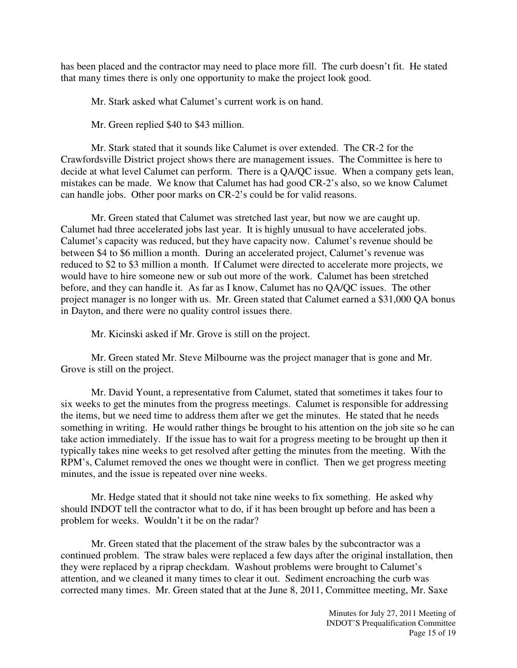has been placed and the contractor may need to place more fill. The curb doesn't fit. He stated that many times there is only one opportunity to make the project look good.

Mr. Stark asked what Calumet's current work is on hand.

Mr. Green replied \$40 to \$43 million.

Mr. Stark stated that it sounds like Calumet is over extended. The CR-2 for the Crawfordsville District project shows there are management issues. The Committee is here to decide at what level Calumet can perform. There is a QA/QC issue. When a company gets lean, mistakes can be made. We know that Calumet has had good CR-2's also, so we know Calumet can handle jobs. Other poor marks on CR-2's could be for valid reasons.

Mr. Green stated that Calumet was stretched last year, but now we are caught up. Calumet had three accelerated jobs last year. It is highly unusual to have accelerated jobs. Calumet's capacity was reduced, but they have capacity now. Calumet's revenue should be between \$4 to \$6 million a month. During an accelerated project, Calumet's revenue was reduced to \$2 to \$3 million a month. If Calumet were directed to accelerate more projects, we would have to hire someone new or sub out more of the work. Calumet has been stretched before, and they can handle it. As far as I know, Calumet has no QA/QC issues. The other project manager is no longer with us. Mr. Green stated that Calumet earned a \$31,000 QA bonus in Dayton, and there were no quality control issues there.

Mr. Kicinski asked if Mr. Grove is still on the project.

Mr. Green stated Mr. Steve Milbourne was the project manager that is gone and Mr. Grove is still on the project.

Mr. David Yount, a representative from Calumet, stated that sometimes it takes four to six weeks to get the minutes from the progress meetings. Calumet is responsible for addressing the items, but we need time to address them after we get the minutes. He stated that he needs something in writing. He would rather things be brought to his attention on the job site so he can take action immediately. If the issue has to wait for a progress meeting to be brought up then it typically takes nine weeks to get resolved after getting the minutes from the meeting. With the RPM's, Calumet removed the ones we thought were in conflict. Then we get progress meeting minutes, and the issue is repeated over nine weeks.

Mr. Hedge stated that it should not take nine weeks to fix something. He asked why should INDOT tell the contractor what to do, if it has been brought up before and has been a problem for weeks. Wouldn't it be on the radar?

Mr. Green stated that the placement of the straw bales by the subcontractor was a continued problem. The straw bales were replaced a few days after the original installation, then they were replaced by a riprap checkdam. Washout problems were brought to Calumet's attention, and we cleaned it many times to clear it out. Sediment encroaching the curb was corrected many times. Mr. Green stated that at the June 8, 2011, Committee meeting, Mr. Saxe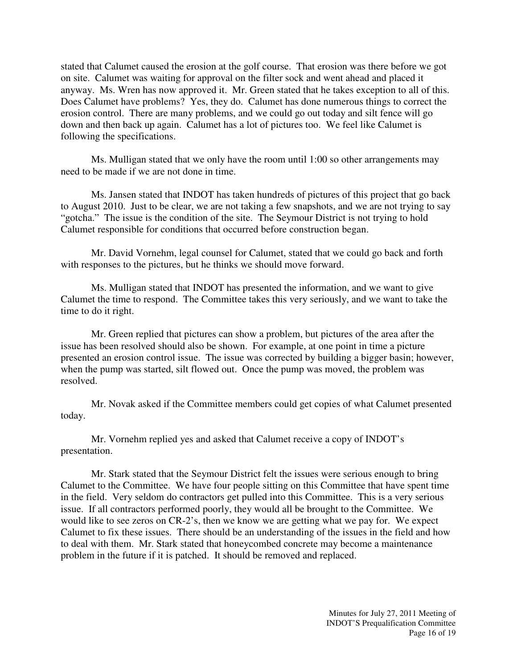stated that Calumet caused the erosion at the golf course. That erosion was there before we got on site. Calumet was waiting for approval on the filter sock and went ahead and placed it anyway. Ms. Wren has now approved it. Mr. Green stated that he takes exception to all of this. Does Calumet have problems? Yes, they do. Calumet has done numerous things to correct the erosion control. There are many problems, and we could go out today and silt fence will go down and then back up again. Calumet has a lot of pictures too. We feel like Calumet is following the specifications.

Ms. Mulligan stated that we only have the room until 1:00 so other arrangements may need to be made if we are not done in time.

Ms. Jansen stated that INDOT has taken hundreds of pictures of this project that go back to August 2010. Just to be clear, we are not taking a few snapshots, and we are not trying to say "gotcha." The issue is the condition of the site. The Seymour District is not trying to hold Calumet responsible for conditions that occurred before construction began.

Mr. David Vornehm, legal counsel for Calumet, stated that we could go back and forth with responses to the pictures, but he thinks we should move forward.

Ms. Mulligan stated that INDOT has presented the information, and we want to give Calumet the time to respond. The Committee takes this very seriously, and we want to take the time to do it right.

Mr. Green replied that pictures can show a problem, but pictures of the area after the issue has been resolved should also be shown. For example, at one point in time a picture presented an erosion control issue. The issue was corrected by building a bigger basin; however, when the pump was started, silt flowed out. Once the pump was moved, the problem was resolved.

Mr. Novak asked if the Committee members could get copies of what Calumet presented today.

Mr. Vornehm replied yes and asked that Calumet receive a copy of INDOT's presentation.

Mr. Stark stated that the Seymour District felt the issues were serious enough to bring Calumet to the Committee. We have four people sitting on this Committee that have spent time in the field. Very seldom do contractors get pulled into this Committee. This is a very serious issue. If all contractors performed poorly, they would all be brought to the Committee. We would like to see zeros on CR-2's, then we know we are getting what we pay for. We expect Calumet to fix these issues. There should be an understanding of the issues in the field and how to deal with them. Mr. Stark stated that honeycombed concrete may become a maintenance problem in the future if it is patched. It should be removed and replaced.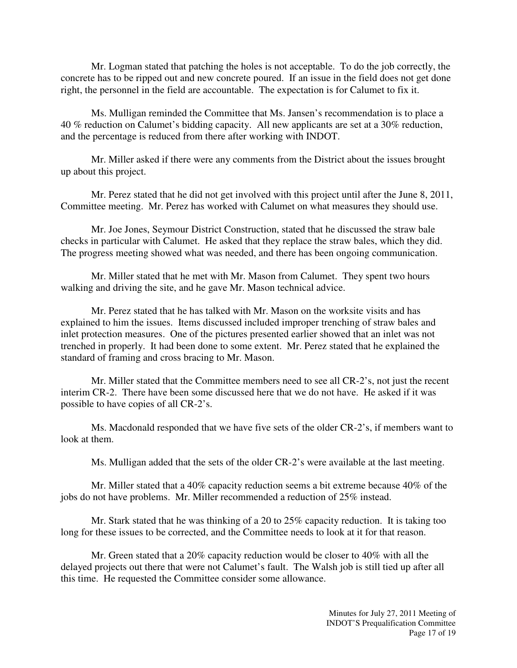Mr. Logman stated that patching the holes is not acceptable. To do the job correctly, the concrete has to be ripped out and new concrete poured. If an issue in the field does not get done right, the personnel in the field are accountable. The expectation is for Calumet to fix it.

Ms. Mulligan reminded the Committee that Ms. Jansen's recommendation is to place a 40 % reduction on Calumet's bidding capacity. All new applicants are set at a 30% reduction, and the percentage is reduced from there after working with INDOT.

Mr. Miller asked if there were any comments from the District about the issues brought up about this project.

Mr. Perez stated that he did not get involved with this project until after the June 8, 2011, Committee meeting. Mr. Perez has worked with Calumet on what measures they should use.

Mr. Joe Jones, Seymour District Construction, stated that he discussed the straw bale checks in particular with Calumet. He asked that they replace the straw bales, which they did. The progress meeting showed what was needed, and there has been ongoing communication.

Mr. Miller stated that he met with Mr. Mason from Calumet. They spent two hours walking and driving the site, and he gave Mr. Mason technical advice.

Mr. Perez stated that he has talked with Mr. Mason on the worksite visits and has explained to him the issues. Items discussed included improper trenching of straw bales and inlet protection measures. One of the pictures presented earlier showed that an inlet was not trenched in properly. It had been done to some extent. Mr. Perez stated that he explained the standard of framing and cross bracing to Mr. Mason.

Mr. Miller stated that the Committee members need to see all CR-2's, not just the recent interim CR-2. There have been some discussed here that we do not have. He asked if it was possible to have copies of all CR-2's.

Ms. Macdonald responded that we have five sets of the older CR-2's, if members want to look at them.

Ms. Mulligan added that the sets of the older CR-2's were available at the last meeting.

Mr. Miller stated that a 40% capacity reduction seems a bit extreme because 40% of the jobs do not have problems. Mr. Miller recommended a reduction of 25% instead.

Mr. Stark stated that he was thinking of a 20 to 25% capacity reduction. It is taking too long for these issues to be corrected, and the Committee needs to look at it for that reason.

Mr. Green stated that a 20% capacity reduction would be closer to 40% with all the delayed projects out there that were not Calumet's fault. The Walsh job is still tied up after all this time. He requested the Committee consider some allowance.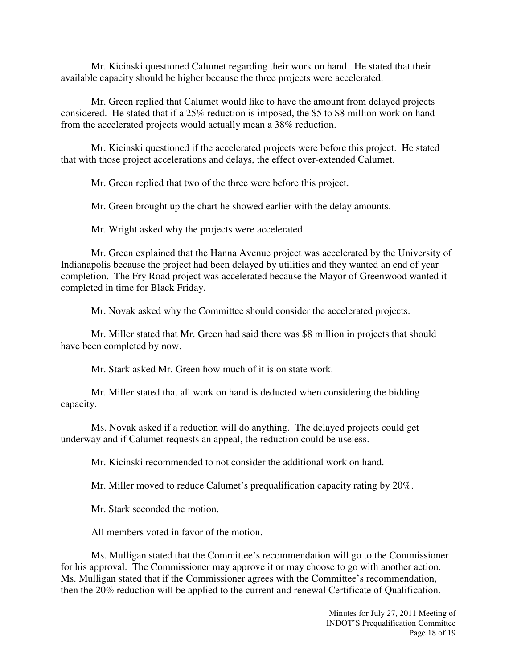Mr. Kicinski questioned Calumet regarding their work on hand. He stated that their available capacity should be higher because the three projects were accelerated.

 Mr. Green replied that Calumet would like to have the amount from delayed projects considered. He stated that if a 25% reduction is imposed, the \$5 to \$8 million work on hand from the accelerated projects would actually mean a 38% reduction.

 Mr. Kicinski questioned if the accelerated projects were before this project. He stated that with those project accelerations and delays, the effect over-extended Calumet.

Mr. Green replied that two of the three were before this project.

Mr. Green brought up the chart he showed earlier with the delay amounts.

Mr. Wright asked why the projects were accelerated.

Mr. Green explained that the Hanna Avenue project was accelerated by the University of Indianapolis because the project had been delayed by utilities and they wanted an end of year completion. The Fry Road project was accelerated because the Mayor of Greenwood wanted it completed in time for Black Friday.

Mr. Novak asked why the Committee should consider the accelerated projects.

Mr. Miller stated that Mr. Green had said there was \$8 million in projects that should have been completed by now.

Mr. Stark asked Mr. Green how much of it is on state work.

Mr. Miller stated that all work on hand is deducted when considering the bidding capacity.

Ms. Novak asked if a reduction will do anything. The delayed projects could get underway and if Calumet requests an appeal, the reduction could be useless.

Mr. Kicinski recommended to not consider the additional work on hand.

Mr. Miller moved to reduce Calumet's prequalification capacity rating by 20%.

Mr. Stark seconded the motion.

All members voted in favor of the motion.

Ms. Mulligan stated that the Committee's recommendation will go to the Commissioner for his approval. The Commissioner may approve it or may choose to go with another action. Ms. Mulligan stated that if the Commissioner agrees with the Committee's recommendation, then the 20% reduction will be applied to the current and renewal Certificate of Qualification.